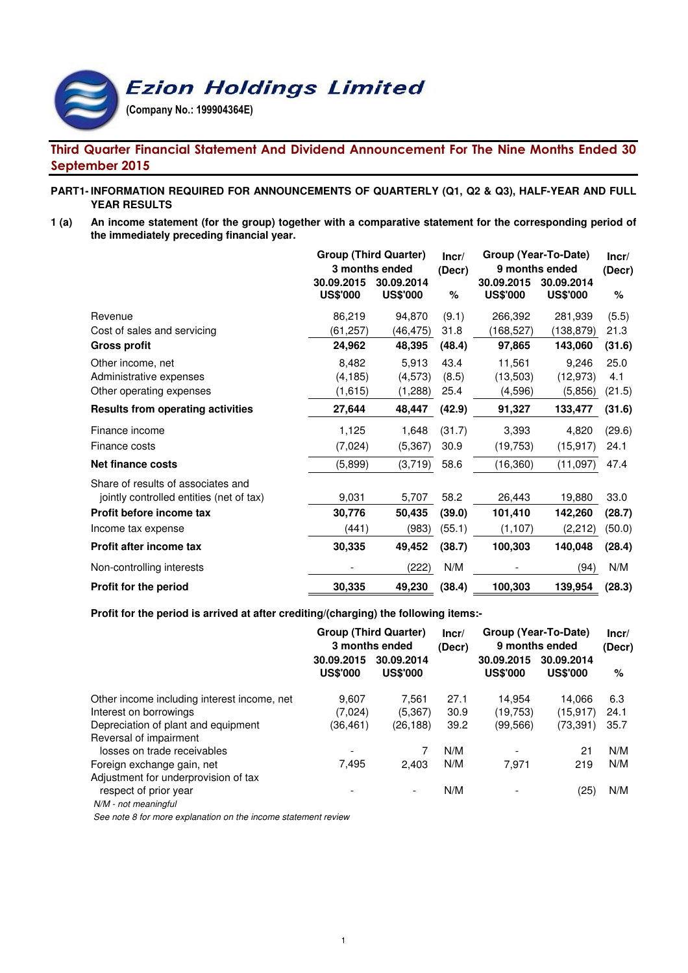**Ezion Holdings Limited** 

(Company No.: 199904364E)

# Third Quarter Financial Statement And Dividend Announcement For The Nine Months Ended 30 September 2015

## **PART1- INFORMATION REQUIRED FOR ANNOUNCEMENTS OF QUARTERLY (Q1, Q2 & Q3), HALF-YEAR AND FULL YEAR RESULTS**

**1 (a) An income statement (for the group) together with a comparative statement for the corresponding period of the immediately preceding financial year.**

|                                          | <b>Group (Third Quarter)</b><br>3 months ended<br>30.09.2015<br>30.09.2014 |                 | Incr/<br>(Decr) | Group (Year-To-Date)<br>9 months ended<br>30.09.2015 | Incr/<br>(Decr)               |        |
|------------------------------------------|----------------------------------------------------------------------------|-----------------|-----------------|------------------------------------------------------|-------------------------------|--------|
|                                          | <b>US\$'000</b>                                                            | <b>US\$'000</b> | %               | <b>US\$'000</b>                                      | 30.09.2014<br><b>US\$'000</b> | %      |
| Revenue                                  | 86,219                                                                     | 94,870          | (9.1)           | 266,392                                              | 281,939                       | (5.5)  |
| Cost of sales and servicing              | (61, 257)                                                                  | (46, 475)       | 31.8            | (168,527)                                            | (138, 879)                    | 21.3   |
| <b>Gross profit</b>                      | 24,962                                                                     | 48,395          | (48.4)          | 97,865                                               | 143,060                       | (31.6) |
| Other income, net                        | 8,482                                                                      | 5,913           | 43.4            | 11,561                                               | 9,246                         | 25.0   |
| Administrative expenses                  | (4, 185)                                                                   | (4,573)         | (8.5)           | (13,503)                                             | (12, 973)                     | 4.1    |
| Other operating expenses                 | (1,615)                                                                    | (1,288)         | 25.4            | (4, 596)                                             | (5,856)                       | (21.5) |
| <b>Results from operating activities</b> | 27,644                                                                     | 48,447          | (42.9)          | 91,327                                               | 133,477                       | (31.6) |
| Finance income                           | 1,125                                                                      | 1,648           | (31.7)          | 3,393                                                | 4,820                         | (29.6) |
| Finance costs                            | (7,024)                                                                    | (5, 367)        | 30.9            | (19, 753)                                            | (15, 917)                     | 24.1   |
| <b>Net finance costs</b>                 | (5,899)                                                                    | (3,719)         | 58.6            | (16, 360)                                            | (11,097)                      | 47.4   |
| Share of results of associates and       |                                                                            |                 |                 |                                                      |                               |        |
| jointly controlled entities (net of tax) | 9,031                                                                      | 5,707           | 58.2            | 26,443                                               | 19,880                        | 33.0   |
| Profit before income tax                 | 30,776                                                                     | 50,435          | (39.0)          | 101,410                                              | 142,260                       | (28.7) |
| Income tax expense                       | (441)                                                                      | (983)           | (55.1)          | (1, 107)                                             | (2,212)                       | (50.0) |
| Profit after income tax                  | 30,335                                                                     | 49,452          | (38.7)          | 100,303                                              | 140,048                       | (28.4) |
| Non-controlling interests                |                                                                            | (222)           | N/M             |                                                      | (94)                          | N/M    |
| Profit for the period                    | 30,335                                                                     | 49,230          | (38.4)          | 100,303                                              | 139,954                       | (28.3) |

#### **Profit for the period is arrived at after crediting/(charging) the following items:-**

|                                             | <b>Group (Third Quarter)</b><br>3 months ended |                               | Incr/<br>(Decr) | Group (Year-To-Date)<br>9 months ended |                               | Incr/<br>(Decr) |
|---------------------------------------------|------------------------------------------------|-------------------------------|-----------------|----------------------------------------|-------------------------------|-----------------|
|                                             | 30.09.2015<br><b>US\$'000</b>                  | 30.09.2014<br><b>US\$'000</b> |                 | 30.09.2015<br><b>US\$'000</b>          | 30.09.2014<br><b>US\$'000</b> | %               |
| Other income including interest income, net | 9.607                                          | 7.561                         | 27.1            | 14.954                                 | 14.066                        | 6.3             |
| Interest on borrowings                      | (7,024)                                        | (5, 367)                      | 30.9            | (19,753)                               | (15, 917)                     | 24.1            |
| Depreciation of plant and equipment         | (36,461)                                       | (26,188)                      | 39.2            | (99, 566)                              | (73, 391)                     | 35.7            |
| Reversal of impairment                      |                                                |                               |                 |                                        |                               |                 |
| losses on trade receivables                 |                                                |                               | N/M             |                                        | 21                            | N/M             |
| Foreign exchange gain, net                  | 7,495                                          | 2.403                         | N/M             | 7.971                                  | 219                           | N/M             |
| Adjustment for underprovision of tax        |                                                |                               |                 |                                        |                               |                 |
| respect of prior year                       |                                                | $\overline{\phantom{a}}$      | N/M             |                                        | (25)                          | N/M             |
| N/M - not meaningful                        |                                                |                               |                 |                                        |                               |                 |

See note 8 for more explanation on the income statement review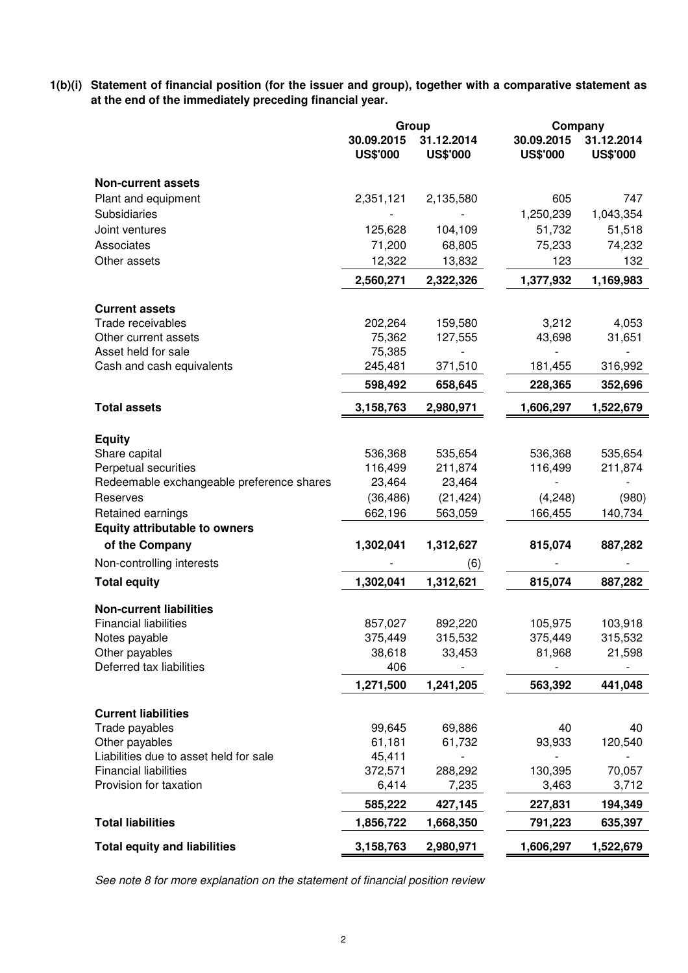**1(b)(i) Statement of financial position (for the issuer and group), together with a comparative statement as at the end of the immediately preceding financial year.**

|                                           | Group                         |                               |                               | Company                       |  |
|-------------------------------------------|-------------------------------|-------------------------------|-------------------------------|-------------------------------|--|
|                                           | 30.09.2015<br><b>US\$'000</b> | 31.12.2014<br><b>US\$'000</b> | 30.09.2015<br><b>US\$'000</b> | 31.12.2014<br><b>US\$'000</b> |  |
| <b>Non-current assets</b>                 |                               |                               |                               |                               |  |
| Plant and equipment                       | 2,351,121                     | 2,135,580                     | 605                           | 747                           |  |
| Subsidiaries                              |                               |                               | 1,250,239                     | 1,043,354                     |  |
| Joint ventures                            | 125,628                       | 104,109                       | 51,732                        | 51,518                        |  |
| Associates                                | 71,200                        | 68,805                        | 75,233                        | 74,232                        |  |
| Other assets                              | 12,322                        | 13,832                        | 123                           | 132                           |  |
|                                           | 2,560,271                     | 2,322,326                     | 1,377,932                     | 1,169,983                     |  |
| <b>Current assets</b>                     |                               |                               |                               |                               |  |
| Trade receivables                         | 202,264                       | 159,580                       | 3,212                         | 4,053                         |  |
| Other current assets                      | 75,362                        | 127,555                       | 43,698                        | 31,651                        |  |
| Asset held for sale                       | 75,385                        |                               |                               |                               |  |
| Cash and cash equivalents                 | 245,481                       | 371,510                       | 181,455                       | 316,992                       |  |
|                                           | 598,492                       | 658,645                       | 228,365                       | 352,696                       |  |
| <b>Total assets</b>                       | 3,158,763                     | 2,980,971                     | 1,606,297                     | 1,522,679                     |  |
|                                           |                               |                               |                               |                               |  |
| <b>Equity</b>                             |                               |                               |                               |                               |  |
| Share capital<br>Perpetual securities     | 536,368<br>116,499            | 535,654<br>211,874            | 536,368<br>116,499            | 535,654                       |  |
| Redeemable exchangeable preference shares | 23,464                        | 23,464                        |                               | 211,874                       |  |
| Reserves                                  | (36, 486)                     | (21, 424)                     | (4,248)                       | (980)                         |  |
| Retained earnings                         | 662,196                       | 563,059                       | 166,455                       | 140,734                       |  |
| <b>Equity attributable to owners</b>      |                               |                               |                               |                               |  |
| of the Company                            | 1,302,041                     | 1,312,627                     | 815,074                       | 887,282                       |  |
| Non-controlling interests                 |                               | (6)                           |                               |                               |  |
|                                           |                               |                               |                               |                               |  |
| <b>Total equity</b>                       | 1,302,041                     | 1,312,621                     | 815,074                       | 887,282                       |  |
| <b>Non-current liabilities</b>            |                               |                               |                               |                               |  |
| <b>Financial liabilities</b>              | 857,027                       | 892,220                       | 105,975                       | 103,918                       |  |
| Notes payable                             | 375,449                       | 315,532                       | 375,449                       | 315,532                       |  |
| Other payables                            | 38,618                        | 33,453                        | 81,968                        | 21,598                        |  |
| Deferred tax liabilities                  | 406                           |                               |                               |                               |  |
|                                           | 1,271,500                     | 1,241,205                     | 563,392                       | 441,048                       |  |
| <b>Current liabilities</b>                |                               |                               |                               |                               |  |
| Trade payables                            | 99,645                        | 69,886                        | 40                            | 40                            |  |
| Other payables                            | 61,181                        | 61,732                        | 93,933                        | 120,540                       |  |
| Liabilities due to asset held for sale    | 45,411                        |                               |                               |                               |  |
| <b>Financial liabilities</b>              | 372,571                       | 288,292                       | 130,395                       | 70,057                        |  |
| Provision for taxation                    | 6,414                         | 7,235                         | 3,463                         | 3,712                         |  |
|                                           | 585,222                       | 427,145                       | 227,831                       | 194,349                       |  |
| <b>Total liabilities</b>                  | 1,856,722                     | 1,668,350                     | 791,223                       | 635,397                       |  |
| <b>Total equity and liabilities</b>       | 3,158,763                     | 2,980,971                     | 1,606,297                     | 1,522,679                     |  |

See note 8 for more explanation on the statement of financial position review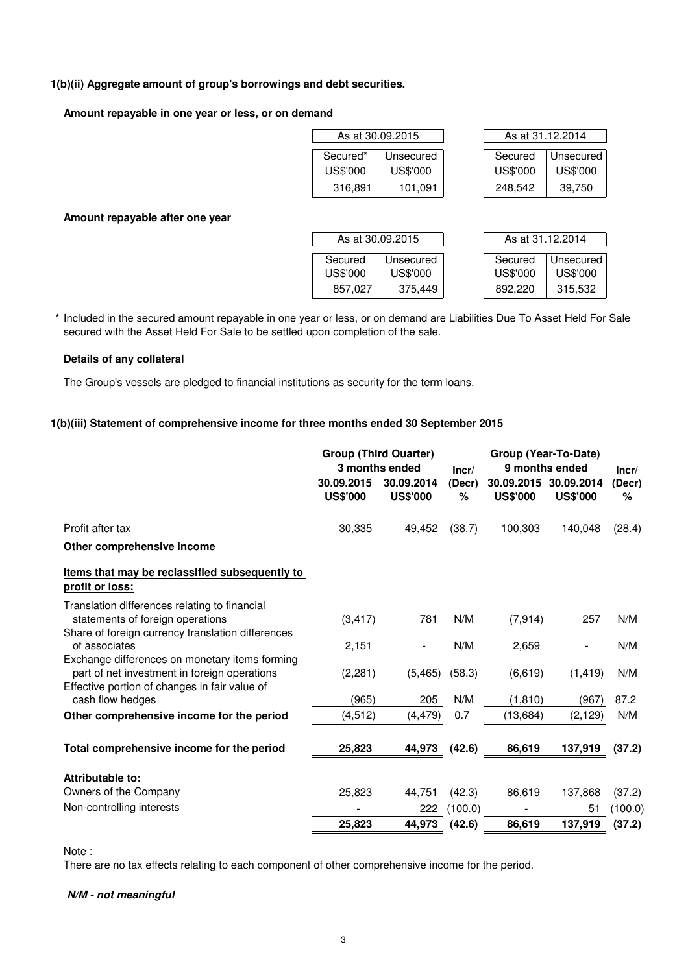### **1(b)(ii) Aggregate amount of group's borrowings and debt securities.**

#### **Amount repayable in one year or less, or on demand**

|          | As at 30.09.2015 | As at 31.12.2014 |           |
|----------|------------------|------------------|-----------|
| Secured* | Unsecured        | Secured          | Unsecured |
| US\$'000 | US\$'000         | US\$'000         | US\$'000  |
| 316,891  | 101,091          | 248,542          | 39,750    |

| As at 31.12.2014  |           |  |  |  |  |  |  |
|-------------------|-----------|--|--|--|--|--|--|
|                   |           |  |  |  |  |  |  |
| Secured           | Unsecured |  |  |  |  |  |  |
| US\$'000          | US\$'000  |  |  |  |  |  |  |
| 248,542<br>39,750 |           |  |  |  |  |  |  |

### **Amount repayable after one year**

|          | As at 30.09.2015 | As at 31.12.2014 |           |
|----------|------------------|------------------|-----------|
|          |                  |                  |           |
| Secured  | Unsecured        | Secured          | Unsecured |
| US\$'000 | US\$'000         | US\$'000         | US\$'000  |
| 857.027  | 375,449          | 892.220          | 315,532   |

\* Included in the secured amount repayable in one year or less, or on demand are Liabilities Due To Asset Held For Sale secured with the Asset Held For Sale to be settled upon completion of the sale.

### **Details of any collateral**

The Group's vessels are pledged to financial institutions as security for the term loans.

## **1(b)(iii) Statement of comprehensive income for three months ended 30 September 2015**

|                                                                                                                                                 |                               | <b>Group (Third Quarter)</b><br>3 months ended | Incr/       | Group (Year-To-Date)<br>9 months ended |                               |             |
|-------------------------------------------------------------------------------------------------------------------------------------------------|-------------------------------|------------------------------------------------|-------------|----------------------------------------|-------------------------------|-------------|
|                                                                                                                                                 | 30.09.2015<br><b>US\$'000</b> | 30.09.2014<br><b>US\$'000</b>                  | (Decr)<br>% | 30.09.2015<br><b>US\$'000</b>          | 30.09.2014<br><b>US\$'000</b> | (Decr)<br>℅ |
| Profit after tax                                                                                                                                | 30,335                        | 49,452                                         | (38.7)      | 100,303                                | 140,048                       | (28.4)      |
| Other comprehensive income                                                                                                                      |                               |                                                |             |                                        |                               |             |
| Items that may be reclassified subsequently to<br>profit or loss:                                                                               |                               |                                                |             |                                        |                               |             |
| Translation differences relating to financial<br>statements of foreign operations                                                               | (3, 417)                      | 781                                            | N/M         | (7, 914)                               | 257                           | N/M         |
| Share of foreign currency translation differences<br>of associates                                                                              | 2,151                         | $\overline{\phantom{m}}$                       | N/M         | 2,659                                  | $\overline{\phantom{a}}$      | N/M         |
| Exchange differences on monetary items forming<br>part of net investment in foreign operations<br>Effective portion of changes in fair value of | (2, 281)                      | (5, 465)                                       | (58.3)      | (6,619)                                | (1, 419)                      | N/M         |
| cash flow hedges                                                                                                                                | (965)                         | 205                                            | N/M         | (1, 810)                               | (967)                         | 87.2        |
| Other comprehensive income for the period                                                                                                       | (4, 512)                      | (4, 479)                                       | 0.7         | (13,684)                               | (2, 129)                      | N/M         |
| Total comprehensive income for the period                                                                                                       | 25,823                        | 44,973                                         | (42.6)      | 86,619                                 | 137,919                       | (37.2)      |
| Attributable to:                                                                                                                                |                               |                                                |             |                                        |                               |             |
| Owners of the Company                                                                                                                           | 25,823                        | 44,751                                         | (42.3)      | 86,619                                 | 137,868                       | (37.2)      |
| Non-controlling interests                                                                                                                       |                               | 222                                            | (100.0)     |                                        | 51                            | (100.0)     |
|                                                                                                                                                 | 25,823                        | 44,973                                         | (42.6)      | 86,619                                 | 137,919                       | (37.2)      |

Note :

There are no tax effects relating to each component of other comprehensive income for the period.

#### **N/M - not meaningful**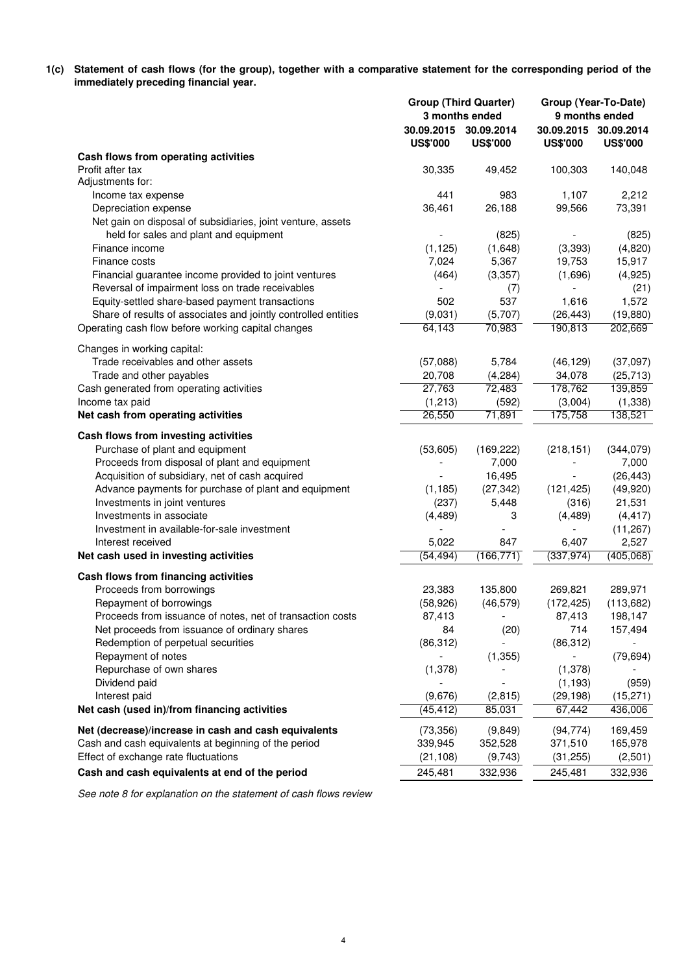**1(c) Statement of cash flows (for the group), together with a comparative statement for the corresponding period of the immediately preceding financial year.**

|                                                                |                   | <b>Group (Third Quarter)</b><br>3 months ended | Group (Year-To-Date)<br>9 months ended |                                          |  |
|----------------------------------------------------------------|-------------------|------------------------------------------------|----------------------------------------|------------------------------------------|--|
|                                                                | <b>US\$'000</b>   | 30.09.2015 30.09.2014<br><b>US\$'000</b>       | <b>US\$'000</b>                        | 30.09.2015 30.09.2014<br><b>US\$'000</b> |  |
| Cash flows from operating activities                           |                   |                                                |                                        |                                          |  |
| Profit after tax                                               | 30,335            | 49,452                                         | 100,303                                | 140,048                                  |  |
| Adjustments for:                                               |                   |                                                |                                        |                                          |  |
| Income tax expense                                             | 441               | 983                                            | 1,107                                  | 2,212                                    |  |
| Depreciation expense                                           | 36,461            | 26,188                                         | 99,566                                 | 73,391                                   |  |
| Net gain on disposal of subsidiaries, joint venture, assets    |                   |                                                |                                        |                                          |  |
| held for sales and plant and equipment                         |                   | (825)                                          |                                        | (825)                                    |  |
| Finance income<br>Finance costs                                | (1, 125)<br>7,024 | (1,648)<br>5,367                               | (3,393)<br>19,753                      | (4,820)<br>15,917                        |  |
| Financial guarantee income provided to joint ventures          | (464)             | (3, 357)                                       | (1,696)                                | (4,925)                                  |  |
| Reversal of impairment loss on trade receivables               |                   | (7)                                            | $\overline{\phantom{a}}$               | (21)                                     |  |
| Equity-settled share-based payment transactions                | 502               | 537                                            | 1,616                                  | 1,572                                    |  |
| Share of results of associates and jointly controlled entities | (9,031)           | (5,707)                                        | (26, 443)                              | (19, 880)                                |  |
| Operating cash flow before working capital changes             | 64,143            | 70,983                                         | 190,813                                | 202,669                                  |  |
|                                                                |                   |                                                |                                        |                                          |  |
| Changes in working capital:                                    |                   |                                                |                                        |                                          |  |
| Trade receivables and other assets                             | (57,088)          | 5,784                                          | (46, 129)                              | (37,097)                                 |  |
| Trade and other payables                                       | 20,708            | (4,284)                                        | 34,078                                 | (25, 713)                                |  |
| Cash generated from operating activities                       | 27,763            | 72,483                                         | 178,762                                | 139,859                                  |  |
| Income tax paid                                                | (1, 213)          | (592)                                          | (3,004)                                | (1,338)                                  |  |
| Net cash from operating activities                             | 26,550            | 71,891                                         | 175,758                                | 138,521                                  |  |
| Cash flows from investing activities                           |                   |                                                |                                        |                                          |  |
| Purchase of plant and equipment                                | (53,605)          | (169, 222)                                     | (218, 151)                             | (344, 079)                               |  |
| Proceeds from disposal of plant and equipment                  |                   | 7,000                                          |                                        | 7,000                                    |  |
| Acquisition of subsidiary, net of cash acquired                |                   | 16,495                                         |                                        | (26, 443)                                |  |
| Advance payments for purchase of plant and equipment           | (1, 185)          | (27, 342)                                      | (121, 425)                             | (49, 920)                                |  |
| Investments in joint ventures                                  | (237)             | 5,448                                          | (316)                                  | 21,531                                   |  |
| Investments in associate                                       | (4, 489)          | 3                                              | (4, 489)                               | (4, 417)                                 |  |
| Investment in available-for-sale investment                    |                   |                                                |                                        | (11, 267)                                |  |
| Interest received                                              | 5,022             | 847                                            | 6,407                                  | 2,527                                    |  |
| Net cash used in investing activities                          | (54, 494)         | (166, 771)                                     | (337, 974)                             | (405,068)                                |  |
| Cash flows from financing activities                           |                   |                                                |                                        |                                          |  |
| Proceeds from borrowings                                       | 23,383            | 135,800                                        | 269,821                                | 289,971                                  |  |
| Repayment of borrowings                                        | (58, 926)         | (46, 579)                                      | (172, 425)                             | (113, 682)                               |  |
| Proceeds from issuance of notes, net of transaction costs      | 87,413            | $\overline{\phantom{a}}$                       | 87,413                                 | 198,147                                  |  |
| Net proceeds from issuance of ordinary shares                  | 84                | (20)                                           | 714                                    | 157,494                                  |  |
| Redemption of perpetual securities                             | (86, 312)         |                                                | (86, 312)                              |                                          |  |
| Repayment of notes                                             |                   | (1, 355)                                       |                                        | (79, 694)                                |  |
| Repurchase of own shares                                       | (1,378)           |                                                | (1,378)                                |                                          |  |
| Dividend paid                                                  |                   |                                                | (1, 193)                               | (959)                                    |  |
| Interest paid                                                  | (9,676)           | (2, 815)                                       | (29, 198)                              | (15, 271)                                |  |
| Net cash (used in)/from financing activities                   | (45, 412)         | 85,031                                         | 67,442                                 | 436,006                                  |  |
| Net (decrease)/increase in cash and cash equivalents           | (73, 356)         | (9, 849)                                       | (94, 774)                              | 169,459                                  |  |
| Cash and cash equivalents at beginning of the period           | 339,945           | 352,528                                        | 371,510                                | 165,978                                  |  |
| Effect of exchange rate fluctuations                           | (21, 108)         | (9,743)                                        | (31, 255)                              | (2,501)                                  |  |
| Cash and cash equivalents at end of the period                 | 245,481           | 332,936                                        | 245,481                                | 332,936                                  |  |

See note 8 for explanation on the statement of cash flows review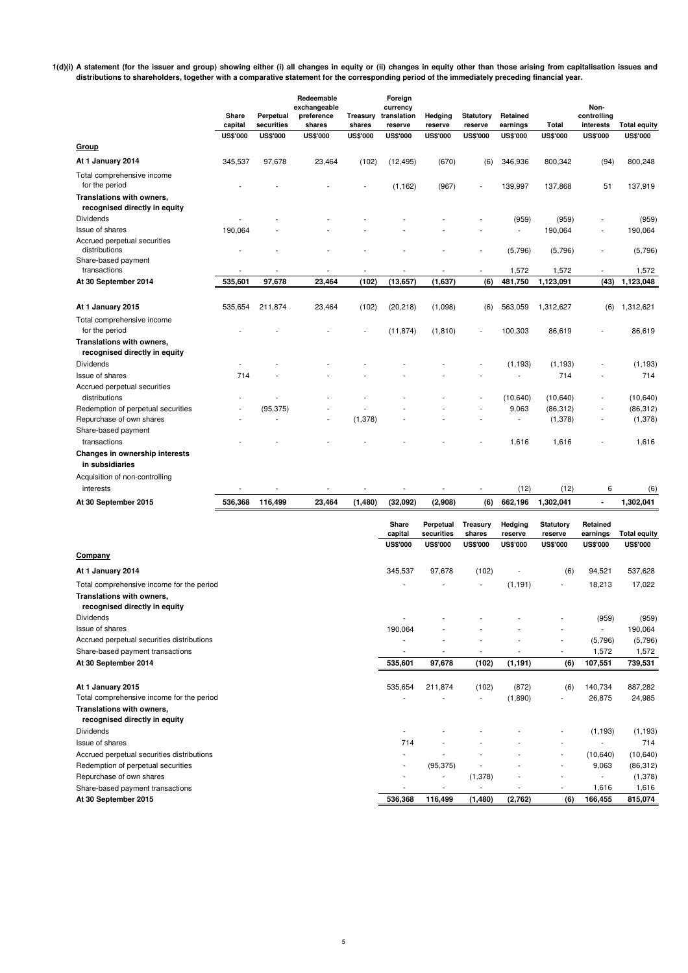**1(d)(i) A statement (for the issuer and group) showing either (i) all changes in equity or (ii) changes in equity other than those arising from capitalisation issues and distributions to shareholders, together with a comparative statement for the corresponding period of the immediately preceding financial year.**

|                                                                                                         | Share<br>capital | Perpetual<br>securities | Redeemable<br>exchangeable<br>preference<br>shares | Treasury<br>shares       | Foreign<br>currency<br>translation<br>reserve | Hedging<br>reserve      | <b>Statutory</b><br>reserve | Retained<br>earnings | <b>Total</b>                | Non-<br>controlling<br>interests | <b>Total equity</b> |
|---------------------------------------------------------------------------------------------------------|------------------|-------------------------|----------------------------------------------------|--------------------------|-----------------------------------------------|-------------------------|-----------------------------|----------------------|-----------------------------|----------------------------------|---------------------|
| Group                                                                                                   | <b>US\$'000</b>  | <b>US\$'000</b>         | <b>US\$'000</b>                                    | <b>US\$'000</b>          | <b>US\$'000</b>                               | <b>US\$'000</b>         | <b>US\$'000</b>             | <b>US\$'000</b>      | <b>US\$'000</b>             | <b>US\$'000</b>                  | <b>US\$'000</b>     |
| At 1 January 2014                                                                                       | 345,537          | 97,678                  | 23,464                                             | (102)                    |                                               | (670)                   |                             | 346,936              | 800,342                     | (94)                             | 800,248             |
|                                                                                                         |                  |                         |                                                    |                          | (12, 495)                                     |                         | (6)                         |                      |                             |                                  |                     |
| Total comprehensive income<br>for the period                                                            |                  |                         |                                                    |                          | (1, 162)                                      | (967)                   |                             | 139,997              | 137,868                     | 51                               | 137,919             |
| Translations with owners,<br>recognised directly in equity                                              |                  |                         |                                                    |                          |                                               |                         |                             |                      |                             |                                  |                     |
| Dividends                                                                                               |                  |                         |                                                    |                          |                                               |                         |                             | (959)                | (959)                       |                                  | (959)               |
| Issue of shares                                                                                         | 190,064          |                         |                                                    |                          |                                               |                         |                             | $\overline{a}$       | 190,064                     | Ĭ.                               | 190,064             |
| Accrued perpetual securities<br>distributions                                                           |                  |                         |                                                    |                          |                                               |                         |                             | (5,796)              | (5,796)                     | ÷,                               | (5,796)             |
| Share-based payment                                                                                     |                  |                         |                                                    |                          |                                               |                         |                             |                      |                             |                                  |                     |
| transactions                                                                                            |                  |                         |                                                    |                          |                                               |                         |                             | 1,572                | 1,572                       | ä,                               | 1,572               |
| At 30 September 2014                                                                                    | 535,601          | 97,678                  | 23,464                                             | (102)                    | (13, 657)                                     | (1,637)                 | (6)                         | 481,750              | 1,123,091                   | (43)                             | 1,123,048           |
| At 1 January 2015                                                                                       | 535,654          | 211,874                 | 23,464                                             | (102)                    | (20, 218)                                     | (1,098)                 | (6)                         | 563,059              | 1,312,627                   | (6)                              | 1,312,621           |
| Total comprehensive income<br>for the period                                                            |                  |                         |                                                    |                          | (11, 874)                                     | (1, 810)                |                             | 100,303              | 86,619                      |                                  | 86,619              |
| Translations with owners,<br>recognised directly in equity                                              |                  |                         |                                                    |                          |                                               |                         |                             |                      |                             |                                  |                     |
| Dividends                                                                                               |                  |                         |                                                    |                          |                                               |                         |                             | (1, 193)             | (1, 193)                    |                                  | (1, 193)            |
| Issue of shares                                                                                         | 714              |                         |                                                    |                          |                                               |                         |                             | ÷,                   | 714                         |                                  | 714                 |
| Accrued perpetual securities<br>distributions                                                           |                  |                         |                                                    |                          |                                               |                         |                             | (10, 640)            | (10, 640)                   | Ĭ.                               | (10, 640)           |
| Redemption of perpetual securities                                                                      |                  | (95, 375)               |                                                    |                          |                                               |                         |                             | 9,063                | (86, 312)                   |                                  | (86, 312)           |
| Repurchase of own shares                                                                                |                  |                         |                                                    | (1, 378)                 |                                               |                         |                             | ÷,                   | (1, 378)                    | Ĭ.                               | (1,378)             |
| Share-based payment                                                                                     |                  |                         |                                                    |                          |                                               |                         |                             |                      |                             |                                  |                     |
| transactions                                                                                            |                  |                         |                                                    |                          |                                               |                         |                             | 1,616                | 1,616                       |                                  | 1,616               |
| Changes in ownership interests<br>in subsidiaries                                                       |                  |                         |                                                    |                          |                                               |                         |                             |                      |                             |                                  |                     |
| Acquisition of non-controlling                                                                          |                  |                         |                                                    |                          |                                               |                         |                             |                      |                             |                                  |                     |
| interests                                                                                               |                  |                         |                                                    | $\overline{\phantom{a}}$ |                                               |                         | $\overline{\phantom{a}}$    | (12)                 | (12)                        | 6                                | (6)                 |
| At 30 September 2015                                                                                    | 536,368          | 116,499                 | 23,464                                             | (1, 480)                 | (32,092)                                      | (2,908)                 | (6)                         | 662,196              | 1,302,041                   | $\blacksquare$                   | 1,302,041           |
|                                                                                                         |                  |                         |                                                    |                          | Share<br>capital                              | Perpetual<br>securities | <b>Treasury</b><br>shares   | Hedging<br>reserve   | <b>Statutory</b><br>reserve | Retained<br>earnings             | <b>Total equity</b> |
|                                                                                                         |                  |                         |                                                    |                          | <b>US\$'000</b>                               | <b>US\$'000</b>         | <b>US\$'000</b>             | <b>US\$'000</b>      | <b>US\$'000</b>             | <b>US\$'000</b>                  | <b>US\$'000</b>     |
| Company                                                                                                 |                  |                         |                                                    |                          |                                               |                         |                             |                      |                             |                                  |                     |
| At 1 January 2014                                                                                       |                  |                         |                                                    |                          | 345,537                                       | 97,678                  | (102)                       | ÷,                   | (6)                         | 94,521                           | 537,628             |
| Total comprehensive income for the period<br>Translations with owners,<br>recognised directly in equity |                  |                         |                                                    |                          |                                               |                         |                             | (1, 191)             | $\overline{\phantom{a}}$    | 18,213                           | 17,022              |
| <b>Dividends</b>                                                                                        |                  |                         |                                                    |                          |                                               |                         |                             |                      |                             | (959)                            | (959)               |
| Issue of shares                                                                                         |                  |                         |                                                    |                          | 190,064                                       |                         |                             |                      |                             |                                  | 190,064             |
| Accrued perpetual securities distributions                                                              |                  |                         |                                                    |                          |                                               |                         |                             |                      |                             | (5,796)                          | (5,796)             |
| Share-based payment transactions                                                                        |                  |                         |                                                    |                          |                                               |                         |                             |                      |                             | 1,572                            | 1,572               |

| At 30 September 2014                                           | 535,601                  | 97,678    | (102)   | (1, 191)                 | (6)                      | 107,551                  | 739,531           |
|----------------------------------------------------------------|--------------------------|-----------|---------|--------------------------|--------------------------|--------------------------|-------------------|
| At 1 January 2015<br>Total comprehensive income for the period | 535,654                  | 211.874   | (102)   | (872)<br>(1,890)         | (6)<br>٠                 | 140,734<br>26,875        | 887,282<br>24,985 |
| Translations with owners,<br>recognised directly in equity     |                          |           |         |                          |                          |                          |                   |
| <b>Dividends</b>                                               | $\overline{\phantom{a}}$ |           |         |                          | ۰                        | (1, 193)                 | (1, 193)          |
| Issue of shares                                                | 714                      |           |         |                          | ۰                        |                          | 714               |
| Accrued perpetual securities distributions                     | $\overline{\phantom{a}}$ |           |         |                          | ۰                        | (10.640)                 | (10,640)          |
| Redemption of perpetual securities                             |                          | (95, 375) |         | -                        | ٠                        | 9,063                    | (86,312)          |
| Repurchase of own shares                                       |                          |           | (1,378) | $\overline{\phantom{a}}$ | ٠                        | $\overline{\phantom{a}}$ | (1,378)           |
| Share-based payment transactions                               |                          |           |         |                          | $\overline{\phantom{a}}$ | 1,616                    | 1,616             |
| At 30 September 2015                                           | 536,368                  | 116,499   | (1,480) | (2,762)                  | (6)                      | 166,455                  | 815,074           |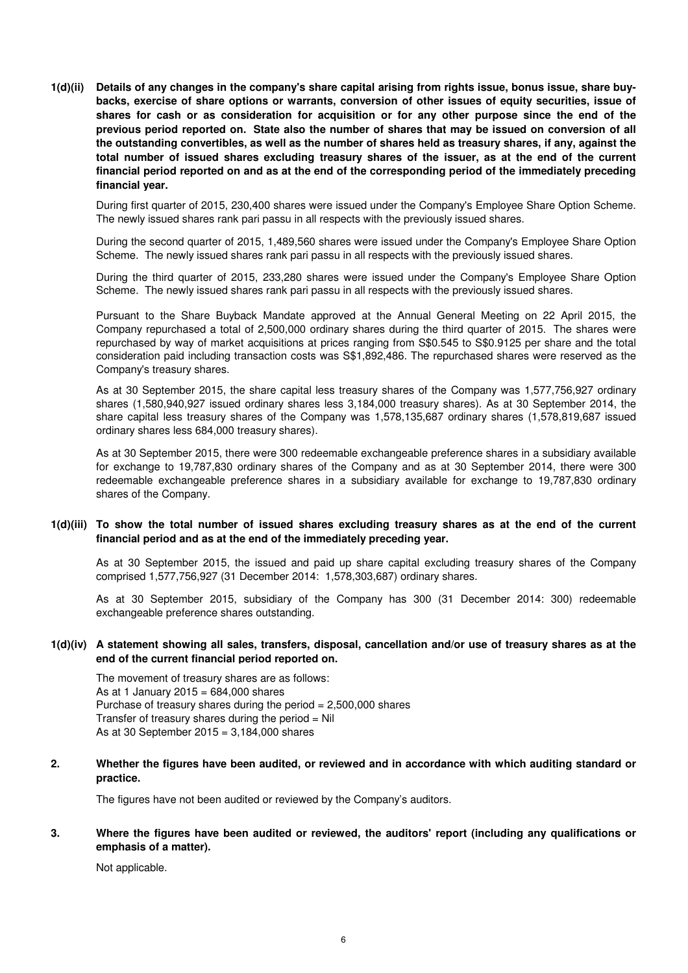**1(d)(ii) Details of any changes in the company's share capital arising from rights issue, bonus issue, share buybacks, exercise of share options or warrants, conversion of other issues of equity securities, issue of shares for cash or as consideration for acquisition or for any other purpose since the end of the previous period reported on. State also the number of shares that may be issued on conversion of all the outstanding convertibles, as well as the number of shares held as treasury shares, if any, against the total number of issued shares excluding treasury shares of the issuer, as at the end of the current financial period reported on and as at the end of the corresponding period of the immediately preceding financial year.**

During first quarter of 2015, 230,400 shares were issued under the Company's Employee Share Option Scheme. The newly issued shares rank pari passu in all respects with the previously issued shares.

During the second quarter of 2015, 1,489,560 shares were issued under the Company's Employee Share Option Scheme. The newly issued shares rank pari passu in all respects with the previously issued shares.

During the third quarter of 2015, 233,280 shares were issued under the Company's Employee Share Option Scheme. The newly issued shares rank pari passu in all respects with the previously issued shares.

Pursuant to the Share Buyback Mandate approved at the Annual General Meeting on 22 April 2015, the Company repurchased a total of 2,500,000 ordinary shares during the third quarter of 2015. The shares were repurchased by way of market acquisitions at prices ranging from S\$0.545 to S\$0.9125 per share and the total consideration paid including transaction costs was S\$1,892,486. The repurchased shares were reserved as the Company's treasury shares.

As at 30 September 2015, the share capital less treasury shares of the Company was 1,577,756,927 ordinary shares (1,580,940,927 issued ordinary shares less 3,184,000 treasury shares). As at 30 September 2014, the share capital less treasury shares of the Company was 1,578,135,687 ordinary shares (1,578,819,687 issued ordinary shares less 684,000 treasury shares).

As at 30 September 2015, there were 300 redeemable exchangeable preference shares in a subsidiary available for exchange to 19,787,830 ordinary shares of the Company and as at 30 September 2014, there were 300 redeemable exchangeable preference shares in a subsidiary available for exchange to 19,787,830 ordinary shares of the Company.

#### **1(d)(iii) To show the total number of issued shares excluding treasury shares as at the end of the current financial period and as at the end of the immediately preceding year.**

As at 30 September 2015, the issued and paid up share capital excluding treasury shares of the Company comprised 1,577,756,927 (31 December 2014: 1,578,303,687) ordinary shares.

As at 30 September 2015, subsidiary of the Company has 300 (31 December 2014: 300) redeemable exchangeable preference shares outstanding.

### **1(d)(iv) A statement showing all sales, transfers, disposal, cancellation and/or use of treasury shares as at the end of the current financial period reported on.**

The movement of treasury shares are as follows: As at 1 January 2015 =  $684,000$  shares Purchase of treasury shares during the period = 2,500,000 shares Transfer of treasury shares during the period  $=$  Nil As at 30 September 2015 = 3,184,000 shares

#### **2. Whether the figures have been audited, or reviewed and in accordance with which auditing standard or practice.**

The figures have not been audited or reviewed by the Company's auditors.

#### **3. Where the figures have been audited or reviewed, the auditors' report (including any qualifications or emphasis of a matter).**

Not applicable.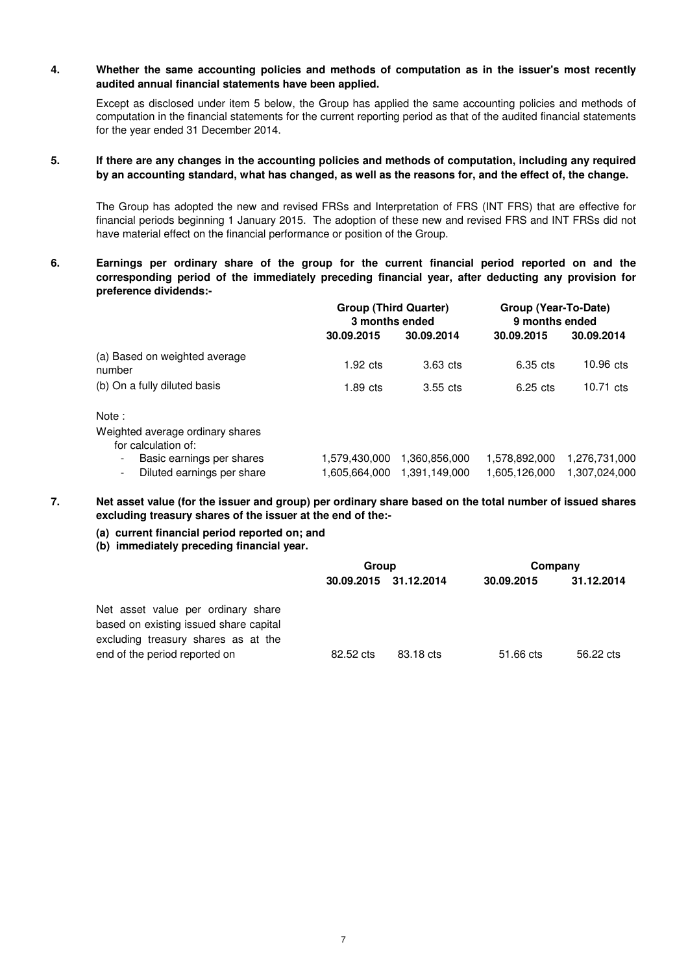#### **4. Whether the same accounting policies and methods of computation as in the issuer's most recently audited annual financial statements have been applied.**

Except as disclosed under item 5 below, the Group has applied the same accounting policies and methods of computation in the financial statements for the current reporting period as that of the audited financial statements for the year ended 31 December 2014.

#### **5. If there are any changes in the accounting policies and methods of computation, including any required by an accounting standard, what has changed, as well as the reasons for, and the effect of, the change.**

The Group has adopted the new and revised FRSs and Interpretation of FRS (INT FRS) that are effective for financial periods beginning 1 January 2015. The adoption of these new and revised FRS and INT FRSs did not have material effect on the financial performance or position of the Group.

**6. Earnings per ordinary share of the group for the current financial period reported on and the corresponding period of the immediately preceding financial year, after deducting any provision for preference dividends:-**

|                                                               | <b>Group (Third Quarter)</b><br>3 months ended |                                | Group (Year-To-Date)<br>9 months ended |                                |  |
|---------------------------------------------------------------|------------------------------------------------|--------------------------------|----------------------------------------|--------------------------------|--|
|                                                               | 30.09.2015                                     | 30.09.2014                     | 30.09.2015                             | 30.09.2014                     |  |
| (a) Based on weighted average<br>number                       | $1.92 \text{ cts}$                             | $3.63$ cts                     | 6.35 cts                               | $10.96$ cts                    |  |
| (b) On a fully diluted basis                                  | $1.89$ cts                                     | $3.55$ cts                     | $6.25$ cts                             | 10.71 cts                      |  |
| Note:                                                         |                                                |                                |                                        |                                |  |
| Weighted average ordinary shares<br>for calculation of:       |                                                |                                |                                        |                                |  |
| Basic earnings per shares<br>Diluted earnings per share<br>۰. | 1,579,430,000<br>1,605,664,000                 | 1,360,856,000<br>1.391.149.000 | 1,578,892,000<br>1,605,126,000         | 1,276,731,000<br>1,307,024,000 |  |

**7. Net asset value (for the issuer and group) per ordinary share based on the total number of issued shares excluding treasury shares of the issuer at the end of the:-** 

- **(a) current financial period reported on; and**
- **(b) immediately preceding financial year.**

|                                                                                                                     | Group     |                       | Company    |            |  |
|---------------------------------------------------------------------------------------------------------------------|-----------|-----------------------|------------|------------|--|
|                                                                                                                     |           | 30.09.2015 31.12.2014 | 30.09.2015 | 31.12.2014 |  |
| Net asset value per ordinary share<br>based on existing issued share capital<br>excluding treasury shares as at the |           |                       |            |            |  |
| end of the period reported on                                                                                       | 82.52 cts | 83.18 cts             | 51.66 cts  | 56.22 cts  |  |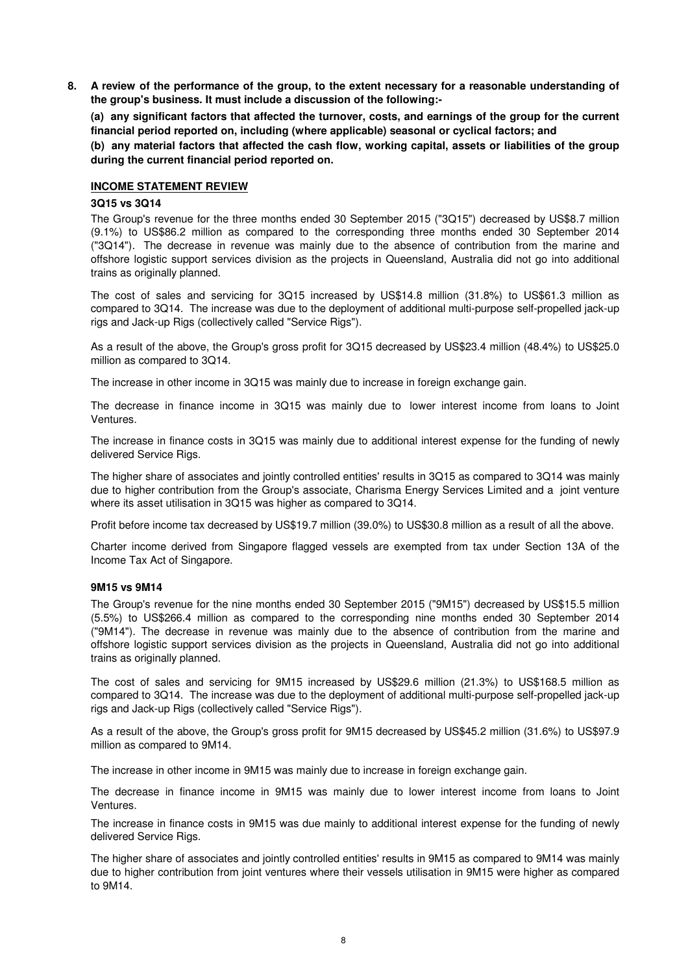**8. A review of the performance of the group, to the extent necessary for a reasonable understanding of the group's business. It must include a discussion of the following:-** 

**(a) any significant factors that affected the turnover, costs, and earnings of the group for the current financial period reported on, including (where applicable) seasonal or cyclical factors; and**

**(b) any material factors that affected the cash flow, working capital, assets or liabilities of the group during the current financial period reported on.**

### **INCOME STATEMENT REVIEW**

#### **3Q15 vs 3Q14**

The Group's revenue for the three months ended 30 September 2015 ("3Q15") decreased by US\$8.7 million (9.1%) to US\$86.2 million as compared to the corresponding three months ended 30 September 2014 ("3Q14"). The decrease in revenue was mainly due to the absence of contribution from the marine and offshore logistic support services division as the projects in Queensland, Australia did not go into additional trains as originally planned.

The cost of sales and servicing for 3Q15 increased by US\$14.8 million (31.8%) to US\$61.3 million as compared to 3Q14. The increase was due to the deployment of additional multi-purpose self-propelled jack-up rigs and Jack-up Rigs (collectively called "Service Rigs").

As a result of the above, the Group's gross profit for 3Q15 decreased by US\$23.4 million (48.4%) to US\$25.0 million as compared to 3Q14.

The increase in other income in 3Q15 was mainly due to increase in foreign exchange gain.

The decrease in finance income in 3Q15 was mainly due to lower interest income from loans to Joint Ventures.

The increase in finance costs in 3Q15 was mainly due to additional interest expense for the funding of newly delivered Service Rigs.

The higher share of associates and jointly controlled entities' results in 3Q15 as compared to 3Q14 was mainly due to higher contribution from the Group's associate, Charisma Energy Services Limited and a joint venture where its asset utilisation in 3Q15 was higher as compared to 3Q14.

Profit before income tax decreased by US\$19.7 million (39.0%) to US\$30.8 million as a result of all the above.

Charter income derived from Singapore flagged vessels are exempted from tax under Section 13A of the Income Tax Act of Singapore.

#### **9M15 vs 9M14**

The Group's revenue for the nine months ended 30 September 2015 ("9M15") decreased by US\$15.5 million (5.5%) to US\$266.4 million as compared to the corresponding nine months ended 30 September 2014 ("9M14"). The decrease in revenue was mainly due to the absence of contribution from the marine and offshore logistic support services division as the projects in Queensland, Australia did not go into additional trains as originally planned.

The cost of sales and servicing for 9M15 increased by US\$29.6 million (21.3%) to US\$168.5 million as compared to 3Q14. The increase was due to the deployment of additional multi-purpose self-propelled jack-up rigs and Jack-up Rigs (collectively called "Service Rigs").

As a result of the above, the Group's gross profit for 9M15 decreased by US\$45.2 million (31.6%) to US\$97.9 million as compared to 9M14.

The increase in other income in 9M15 was mainly due to increase in foreign exchange gain.

The decrease in finance income in 9M15 was mainly due to lower interest income from loans to Joint Ventures.

The increase in finance costs in 9M15 was due mainly to additional interest expense for the funding of newly delivered Service Rigs.

The higher share of associates and jointly controlled entities' results in 9M15 as compared to 9M14 was mainly due to higher contribution from joint ventures where their vessels utilisation in 9M15 were higher as compared to 9M14.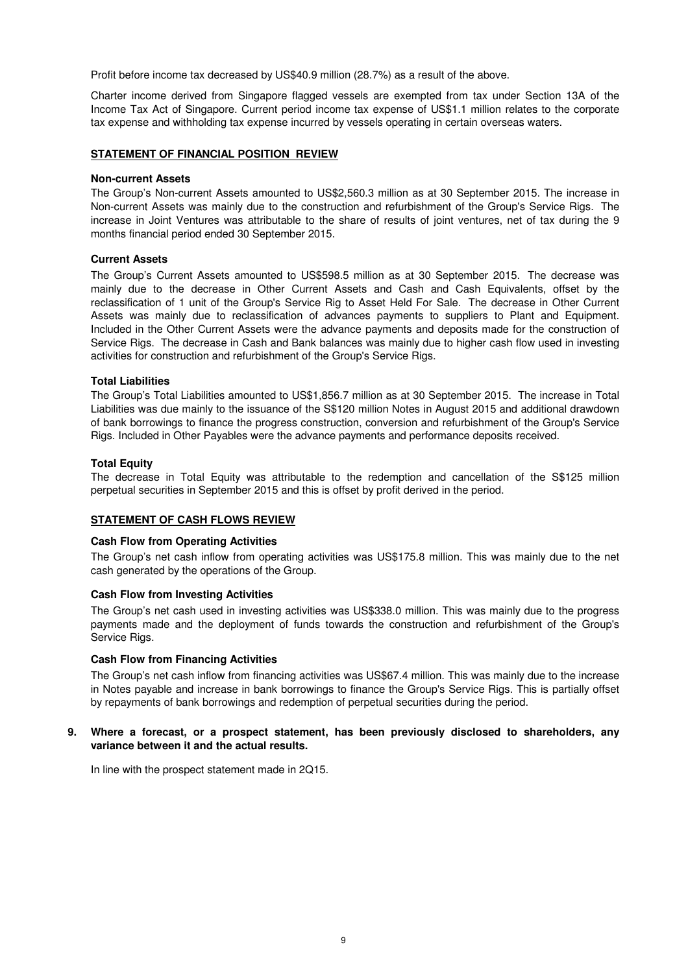Profit before income tax decreased by US\$40.9 million (28.7%) as a result of the above.

Charter income derived from Singapore flagged vessels are exempted from tax under Section 13A of the Income Tax Act of Singapore. Current period income tax expense of US\$1.1 million relates to the corporate tax expense and withholding tax expense incurred by vessels operating in certain overseas waters.

#### **STATEMENT OF FINANCIAL POSITION REVIEW**

#### **Non-current Assets**

The Group's Non-current Assets amounted to US\$2,560.3 million as at 30 September 2015. The increase in Non-current Assets was mainly due to the construction and refurbishment of the Group's Service Rigs. The increase in Joint Ventures was attributable to the share of results of joint ventures, net of tax during the 9 months financial period ended 30 September 2015.

#### **Current Assets**

The Group's Current Assets amounted to US\$598.5 million as at 30 September 2015. The decrease was mainly due to the decrease in Other Current Assets and Cash and Cash Equivalents, offset by the reclassification of 1 unit of the Group's Service Rig to Asset Held For Sale. The decrease in Other Current Assets was mainly due to reclassification of advances payments to suppliers to Plant and Equipment. Included in the Other Current Assets were the advance payments and deposits made for the construction of Service Rigs. The decrease in Cash and Bank balances was mainly due to higher cash flow used in investing activities for construction and refurbishment of the Group's Service Rigs.

#### **Total Liabilities**

The Group's Total Liabilities amounted to US\$1,856.7 million as at 30 September 2015. The increase in Total Liabilities was due mainly to the issuance of the S\$120 million Notes in August 2015 and additional drawdown of bank borrowings to finance the progress construction, conversion and refurbishment of the Group's Service Rigs. Included in Other Payables were the advance payments and performance deposits received.

#### **Total Equity**

The decrease in Total Equity was attributable to the redemption and cancellation of the S\$125 million perpetual securities in September 2015 and this is offset by profit derived in the period.

#### **STATEMENT OF CASH FLOWS REVIEW**

#### **Cash Flow from Operating Activities**

The Group's net cash inflow from operating activities was US\$175.8 million. This was mainly due to the net cash generated by the operations of the Group.

#### **Cash Flow from Investing Activities**

The Group's net cash used in investing activities was US\$338.0 million. This was mainly due to the progress payments made and the deployment of funds towards the construction and refurbishment of the Group's Service Rigs.

#### **Cash Flow from Financing Activities**

The Group's net cash inflow from financing activities was US\$67.4 million. This was mainly due to the increase in Notes payable and increase in bank borrowings to finance the Group's Service Rigs. This is partially offset by repayments of bank borrowings and redemption of perpetual securities during the period.

#### **9. Where a forecast, or a prospect statement, has been previously disclosed to shareholders, any variance between it and the actual results.**

In line with the prospect statement made in 2Q15.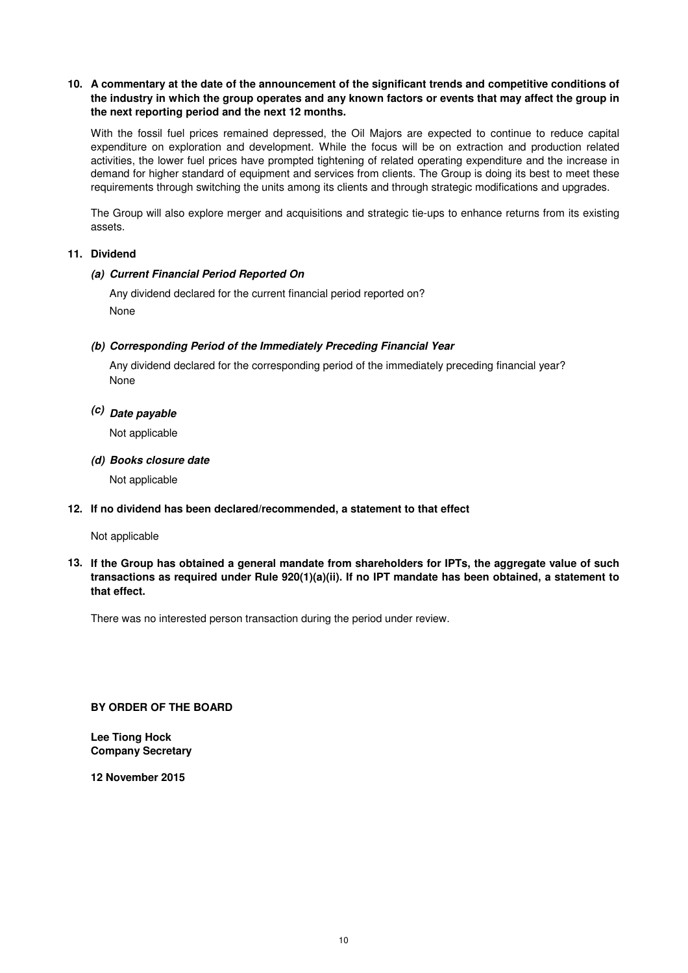## **10. A commentary at the date of the announcement of the significant trends and competitive conditions of the industry in which the group operates and any known factors or events that may affect the group in the next reporting period and the next 12 months.**

With the fossil fuel prices remained depressed, the Oil Majors are expected to continue to reduce capital expenditure on exploration and development. While the focus will be on extraction and production related activities, the lower fuel prices have prompted tightening of related operating expenditure and the increase in demand for higher standard of equipment and services from clients. The Group is doing its best to meet these requirements through switching the units among its clients and through strategic modifications and upgrades.

The Group will also explore merger and acquisitions and strategic tie-ups to enhance returns from its existing assets.

## **11. Dividend**

## **(a) Current Financial Period Reported On**

Any dividend declared for the current financial period reported on? None

## **(b) Corresponding Period of the Immediately Preceding Financial Year**

None Any dividend declared for the corresponding period of the immediately preceding financial year?

## **(c) Date payable**

Not applicable

### **(d) Books closure date**

Not applicable

## **12. If no dividend has been declared/recommended, a statement to that effect**

### Not applicable

**13. If the Group has obtained a general mandate from shareholders for IPTs, the aggregate value of such transactions as required under Rule 920(1)(a)(ii). If no IPT mandate has been obtained, a statement to that effect.**

There was no interested person transaction during the period under review.

**BY ORDER OF THE BOARD**

**Lee Tiong Hock Company Secretary**

**12 November 2015**